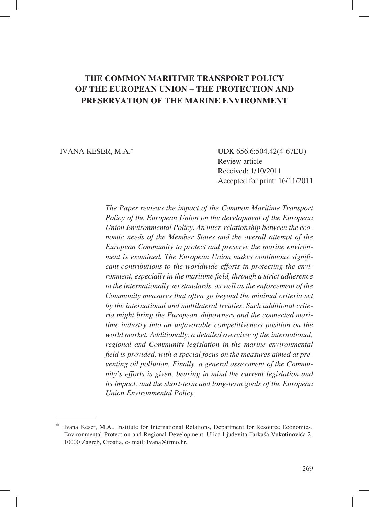# **THE COMMON MARITIME TRANSPORT POLICY OF THE EUROPEAN UNION – THE PROTECTION AND PRESERVATION OF THE MARINE ENVIRONMENT**

IVANA KESER, M.A.\* UDK 656.6:504.42(4-67EU) Review article Received: 1/10/2011 Accepted for print: 16/11/2011

> *The Paper reviews the impact of the Common Maritime Transport Policy of the European Union on the development of the European Union Environmental Policy. An inter-relationship between the economic needs of the Member States and the overall attempt of the European Community to protect and preserve the marine environment is examined. The European Union makes continuous significant contributions to the worldwide efforts in protecting the environment, especially in the maritime field, through a strict adherence to the internationally set standards, as well as the enforcement of the Community measures that often go beyond the minimal criteria set by the international and multilateral treaties. Such additional criteria might bring the European shipowners and the connected maritime industry into an unfavorable competitiveness position on the world market. Additionally, a detailed overview of the international, regional and Community legislation in the marine environmental*  field is provided, with a special focus on the measures aimed at pre*venting oil pollution. Finally, a general assessment of the Community's efforts is given, bearing in mind the current legislation and its impact, and the short-term and long-term goals of the European Union Environmental Policy.*

Ivana Keser, M.A., Institute for International Relations, Department for Resource Economics, Environmental Protection and Regional Development, Ulica Ljudevita Farkaša Vukotinovića 2, 10000 Zagreb, Croatia, e- mail: Ivana@irmo.hr.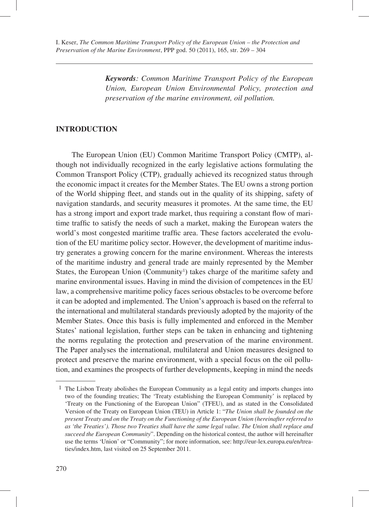*Keywords: Common Maritime Transport Policy of the European Union, European Union Environmental Policy, protection and preservation of the marine environment, oil pollution.*

### **INTRODUCTION**

The European Union (EU) Common Maritime Transport Policy (CMTP), although not individually recognized in the early legislative actions formulating the Common Transport Policy (CTP), gradually achieved its recognized status through the economic impact it creates for the Member States. The EU owns a strong portion of the World shipping fleet, and stands out in the quality of its shipping, safety of navigation standards, and security measures it promotes. At the same time, the EU has a strong import and export trade market, thus requiring a constant flow of maritime traffic to satisfy the needs of such a market, making the European waters the world's most congested maritime traffic area. These factors accelerated the evolution of the EU maritime policy sector. However, the development of maritime industry generates a growing concern for the marine environment. Whereas the interests of the maritime industry and general trade are mainly represented by the Member States, the European Union (Community<sup>1</sup>) takes charge of the maritime safety and marine environmental issues. Having in mind the division of competences in the EU law, a comprehensive maritime policy faces serious obstacles to be overcome before it can be adopted and implemented. The Union's approach is based on the referral to the international and multilateral standards previously adopted by the majority of the Member States. Once this basis is fully implemented and enforced in the Member States' national legislation, further steps can be taken in enhancing and tightening the norms regulating the protection and preservation of the marine environment. The Paper analyses the international, multilateral and Union measures designed to protect and preserve the marine environment, with a special focus on the oil pollution, and examines the prospects of further developments, keeping in mind the needs

 $<sup>1</sup>$  The Lisbon Treaty abolishes the European Community as a legal entity and imports changes into</sup> two of the founding treaties; The 'Treaty establishing the European Community' is replaced by 'Treaty on the Functioning of the European Union" (TFEU), and as stated in the Consolidated Version of the Treaty on European Union (TEU) in Article 1: "*The Union shall be founded on the present Treaty and on the Treaty on the Functioning of the European Union (hereinafter referred to as 'the Treaties'). Those two Treaties shall have the same legal value. The Union shall replace and succeed the European Community*". Depending on the historical contest, the author will hereinafter use the terms 'Union' or "Community"; for more information, see: http://eur-lex.europa.eu/en/treaties/index.htm, last visited on 25 September 2011.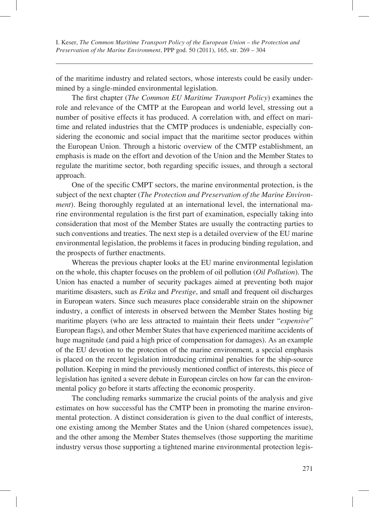of the maritime industry and related sectors, whose interests could be easily undermined by a single-minded environmental legislation.

The first chapter (*The Common EU Maritime Transport Policy*) examines the role and relevance of the CMTP at the European and world level, stressing out a number of positive effects it has produced. A correlation with, and effect on maritime and related industries that the CMTP produces is undeniable, especially considering the economic and social impact that the maritime sector produces within the European Union. Through a historic overview of the CMTP establishment, an emphasis is made on the effort and devotion of the Union and the Member States to regulate the maritime sector, both regarding specific issues, and through a sectoral approach.

One of the specific CMPT sectors, the marine environmental protection, is the subject of the next chapter (*The Protection and Preservation of the Marine Environment*). Being thoroughly regulated at an international level, the international marine environmental regulation is the first part of examination, especially taking into consideration that most of the Member States are usually the contracting parties to such conventions and treaties. The next step is a detailed overview of the EU marine environmental legislation, the problems it faces in producing binding regulation, and the prospects of further enactments.

Whereas the previous chapter looks at the EU marine environmental legislation on the whole, this chapter focuses on the problem of oil pollution (*Oil Pollution*). The Union has enacted a number of security packages aimed at preventing both major maritime disasters, such as *Erika* and *Prestige*, and small and frequent oil discharges in European waters. Since such measures place considerable strain on the shipowner industry, a conflict of interests in observed between the Member States hosting big maritime players (who are less attracted to maintain their fleets under "*expensive*" European flags), and other Member States that have experienced maritime accidents of huge magnitude (and paid a high price of compensation for damages). As an example of the EU devotion to the protection of the marine environment, a special emphasis is placed on the recent legislation introducing criminal penalties for the ship-source pollution. Keeping in mind the previously mentioned conflict of interests, this piece of legislation has ignited a severe debate in European circles on how far can the environmental policy go before it starts affecting the economic prosperity.

The concluding remarks summarize the crucial points of the analysis and give estimates on how successful has the CMTP been in promoting the marine environmental protection. A distinct consideration is given to the dual conflict of interests, one existing among the Member States and the Union (shared competences issue), and the other among the Member States themselves (those supporting the maritime industry versus those supporting a tightened marine environmental protection legis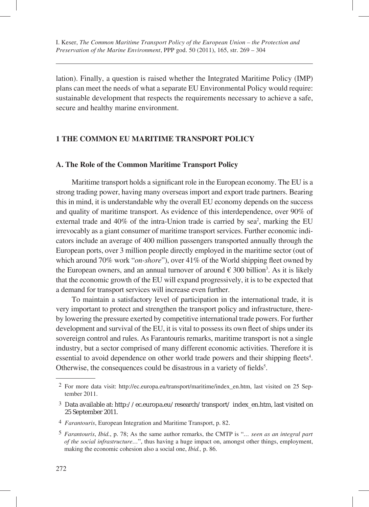lation). Finally, a question is raised whether the Integrated Maritime Policy (IMP) plans can meet the needs of what a separate EU Environmental Policy would require: sustainable development that respects the requirements necessary to achieve a safe, secure and healthy marine environment.

### **1 THE COMMON EU MARITIME TRANSPORT POLICY**

### **A. The Role of the Common Maritime Transport Policy**

Maritime transport holds a significant role in the European economy. The EU is a strong trading power, having many overseas import and export trade partners. Bearing this in mind, it is understandable why the overall EU economy depends on the success and quality of maritime transport. As evidence of this interdependence, over 90% of external trade and 40% of the intra-Union trade is carried by sea<sup>2</sup>, marking the EU irrevocably as a giant consumer of maritime transport services. Further economic indicators include an average of 400 million passengers transported annually through the European ports, over 3 million people directly employed in the maritime sector (out of which around 70% work "*on-shore*"), over 41% of the World shipping fleet owned by the European owners, and an annual turnover of around  $\epsilon$  300 billion<sup>3</sup>. As it is likely that the economic growth of the EU will expand progressively, it is to be expected that a demand for transport services will increase even further.

To maintain a satisfactory level of participation in the international trade, it is very important to protect and strengthen the transport policy and infrastructure, thereby lowering the pressure exerted by competitive international trade powers. For further development and survival of the EU, it is vital to possess its own fleet of ships under its sovereign control and rules. As Farantouris remarks, maritime transport is not a single industry, but a sector comprised of many different economic activities. Therefore it is essential to avoid dependence on other world trade powers and their shipping fleets<sup>4</sup>. Otherwise, the consequences could be disastrous in a variety of fields<sup>5</sup>.

 <sup>2</sup> For more data visit: http://ec.europa.eu/transport/maritime/index\_en.htm, last visited on 25 September 2011.

 <sup>3</sup> Data available at: http://ec.europa.eu/research/transport/ index\_en.htm, last visited on 25 September 2011.

 <sup>4</sup> *Farantouris*, European Integration and Maritime Transport, p. 82.

 <sup>5</sup> *Farantouris*, *Ibid.*, p. 78; As the same author remarks, the CMTP is "*… seen as an integral part of the social infrastructure…*", thus having a huge impact on, amongst other things, employment, making the economic cohesion also a social one, *Ibid.,* p. 86.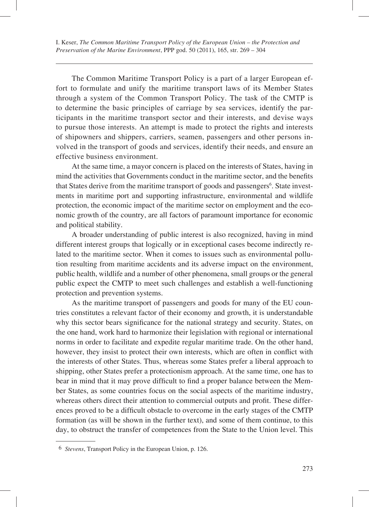The Common Maritime Transport Policy is a part of a larger European effort to formulate and unify the maritime transport laws of its Member States through a system of the Common Transport Policy. The task of the CMTP is to determine the basic principles of carriage by sea services, identify the participants in the maritime transport sector and their interests, and devise ways to pursue those interests. An attempt is made to protect the rights and interests of shipowners and shippers, carriers, seamen, passengers and other persons involved in the transport of goods and services, identify their needs, and ensure an effective business environment.

At the same time, a mayor concern is placed on the interests of States, having in mind the activities that Governments conduct in the maritime sector, and the benefits that States derive from the maritime transport of goods and passengers<sup>6</sup>. State investments in maritime port and supporting infrastructure, environmental and wildlife protection, the economic impact of the maritime sector on employment and the economic growth of the country, are all factors of paramount importance for economic and political stability.

A broader understanding of public interest is also recognized, having in mind different interest groups that logically or in exceptional cases become indirectly related to the maritime sector. When it comes to issues such as environmental pollution resulting from maritime accidents and its adverse impact on the environment, public health, wildlife and a number of other phenomena, small groups or the general public expect the CMTP to meet such challenges and establish a well-functioning protection and prevention systems.

As the maritime transport of passengers and goods for many of the EU countries constitutes a relevant factor of their economy and growth, it is understandable why this sector bears significance for the national strategy and security. States, on the one hand, work hard to harmonize their legislation with regional or international norms in order to facilitate and expedite regular maritime trade. On the other hand, however, they insist to protect their own interests, which are often in conflict with the interests of other States. Thus, whereas some States prefer a liberal approach to shipping, other States prefer a protectionism approach. At the same time, one has to bear in mind that it may prove difficult to find a proper balance between the Member States, as some countries focus on the social aspects of the maritime industry, whereas others direct their attention to commercial outputs and profit. These differences proved to be a difficult obstacle to overcome in the early stages of the CMTP formation (as will be shown in the further text), and some of them continue, to this day, to obstruct the transfer of competences from the State to the Union level. This

 <sup>6</sup> *Stevens*, Transport Policy in the European Union, p. 126.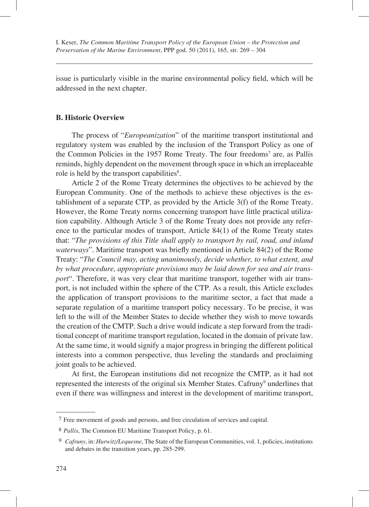issue is particularly visible in the marine environmental policy field, which will be addressed in the next chapter.

#### **B. Historic Overview**

The process of "*Europeanization*" of the maritime transport institutional and regulatory system was enabled by the inclusion of the Transport Policy as one of the Common Policies in the 1957 Rome Treaty. The four freedoms<sup>7</sup> are, as Pallis reminds, highly dependent on the movement through space in which an irreplaceable role is held by the transport capabilities<sup>8</sup>.

Article 2 of the Rome Treaty determines the objectives to be achieved by the European Community. One of the methods to achieve these objectives is the establishment of a separate CTP, as provided by the Article 3(f) of the Rome Treaty. However, the Rome Treaty norms concerning transport have little practical utilization capability. Although Article 3 of the Rome Treaty does not provide any reference to the particular modes of transport, Article 84(1) of the Rome Treaty states that: "*The provisions of this Title shall apply to transport by rail, road, and inland waterways*". Maritime transport was briefly mentioned in Article 84(2) of the Rome Treaty: "*The Council may, acting unanimously, decide whether, to what extent, and by what procedure, appropriate provisions may be laid down for sea and air transport*". Therefore, it was very clear that maritime transport, together with air transport, is not included within the sphere of the CTP. As a result, this Article excludes the application of transport provisions to the maritime sector, a fact that made a separate regulation of a maritime transport policy necessary. To be precise, it was left to the will of the Member States to decide whether they wish to move towards the creation of the CMTP. Such a drive would indicate a step forward from the traditional concept of maritime transport regulation, located in the domain of private law. At the same time, it would signify a major progress in bringing the different political interests into a common perspective, thus leveling the standards and proclaiming joint goals to be achieved.

At first, the European institutions did not recognize the CMTP, as it had not represented the interests of the original six Member States. Cafruny<sup>9</sup> underlines that even if there was willingness and interest in the development of maritime transport,

 <sup>7</sup> Free movement of goods and persons, and free circulation of services and capital.

 <sup>8</sup> *Pallis*, The Common EU Maritime Transport Policy, p. 61.

 <sup>9</sup> *Cafruny*, in: *Hurwitz/Lequesne*, The State of the European Communities, vol. 1, policies, institutions and debates in the transition years, pp. 285-299.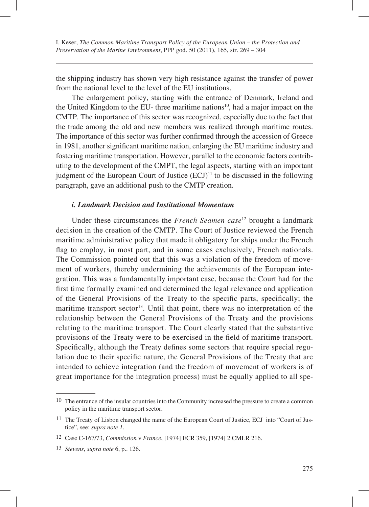the shipping industry has shown very high resistance against the transfer of power from the national level to the level of the EU institutions.

The enlargement policy, starting with the entrance of Denmark, Ireland and the United Kingdom to the EU- three maritime nations<sup>10</sup>, had a major impact on the CMTP. The importance of this sector was recognized, especially due to the fact that the trade among the old and new members was realized through maritime routes. The importance of this sector was further confirmed through the accession of Greece in 1981, another significant maritime nation, enlarging the EU maritime industry and fostering maritime transportation. However, parallel to the economic factors contributing to the development of the CMPT, the legal aspects, starting with an important judgment of the European Court of Justice  $(ECJ)^{11}$  to be discussed in the following paragraph, gave an additional push to the CMTP creation.

### *i. Landmark Decision and Institutional Momentum*

Under these circumstances the *French Seamen case*12 brought a landmark decision in the creation of the CMTP. The Court of Justice reviewed the French maritime administrative policy that made it obligatory for ships under the French flag to employ, in most part, and in some cases exclusively, French nationals. The Commission pointed out that this was a violation of the freedom of movement of workers, thereby undermining the achievements of the European integration. This was a fundamentally important case, because the Court had for the first time formally examined and determined the legal relevance and application of the General Provisions of the Treaty to the specific parts, specifically; the maritime transport sector<sup>13</sup>. Until that point, there was no interpretation of the relationship between the General Provisions of the Treaty and the provisions relating to the maritime transport. The Court clearly stated that the substantive provisions of the Treaty were to be exercised in the field of maritime transport. Specifically, although the Treaty defines some sectors that require special regulation due to their specific nature, the General Provisions of the Treaty that are intended to achieve integration (and the freedom of movement of workers is of great importance for the integration process) must be equally applied to all spe-

<sup>&</sup>lt;sup>10</sup> The entrance of the insular countries into the Community increased the pressure to create a common policy in the maritime transport sector.

<sup>11</sup> The Treaty of Lisbon changed the name of the European Court of Justice, ECJ into "Court of Justice", see: *supra note 1*.

<sup>12</sup> Case C-167/73, *Commission* v *France*, [1974] ECR 359, [1974] 2 CMLR 216.

<sup>13</sup> *Stevens*, *supra note* 6, p.. 126.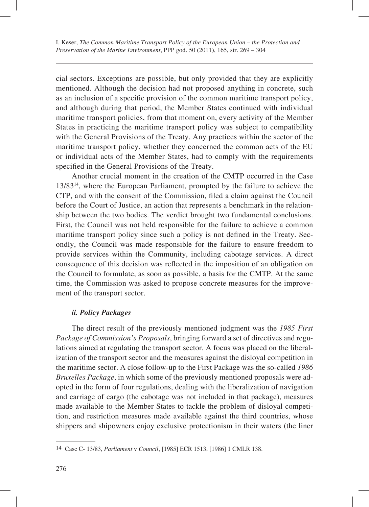cial sectors. Exceptions are possible, but only provided that they are explicitly mentioned. Although the decision had not proposed anything in concrete, such as an inclusion of a specific provision of the common maritime transport policy, and although during that period, the Member States continued with individual maritime transport policies, from that moment on, every activity of the Member States in practicing the maritime transport policy was subject to compatibility with the General Provisions of the Treaty. Any practices within the sector of the maritime transport policy, whether they concerned the common acts of the EU or individual acts of the Member States, had to comply with the requirements specified in the General Provisions of the Treaty.

Another crucial moment in the creation of the CMTP occurred in the Case 13/8314, where the European Parliament, prompted by the failure to achieve the CTP, and with the consent of the Commission, filed a claim against the Council before the Court of Justice, an action that represents a benchmark in the relationship between the two bodies. The verdict brought two fundamental conclusions. First, the Council was not held responsible for the failure to achieve a common maritime transport policy since such a policy is not defined in the Treaty. Secondly, the Council was made responsible for the failure to ensure freedom to provide services within the Community, including cabotage services. A direct consequence of this decision was reflected in the imposition of an obligation on the Council to formulate, as soon as possible, a basis for the CMTP. At the same time, the Commission was asked to propose concrete measures for the improvement of the transport sector.

### *ii. Policy Packages*

The direct result of the previously mentioned judgment was the *1985 First Package of Commission's Proposals*, bringing forward a set of directives and regulations aimed at regulating the transport sector. A focus was placed on the liberalization of the transport sector and the measures against the disloyal competition in the maritime sector. A close follow-up to the First Package was the so-called *1986 Bruxelles Package*, in which some of the previously mentioned proposals were adopted in the form of four regulations, dealing with the liberalization of navigation and carriage of cargo (the cabotage was not included in that package), measures made available to the Member States to tackle the problem of disloyal competition, and restriction measures made available against the third countries, whose shippers and shipowners enjoy exclusive protectionism in their waters (the liner

<sup>14</sup> Case C- 13/83, *Parliament* v *Council*, [1985] ECR 1513, [1986] 1 CMLR 138.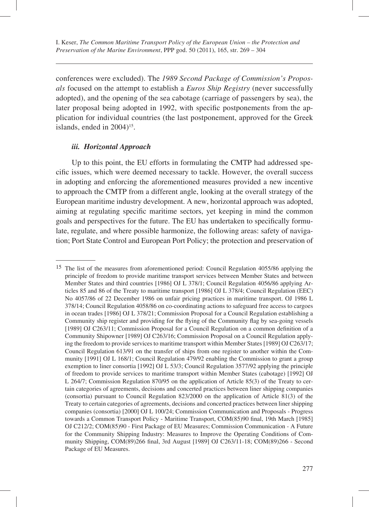conferences were excluded). The *1989 Second Package of Commission's Proposals* focused on the attempt to establish a *Euros Ship Registry* (never successfully adopted), and the opening of the sea cabotage (carriage of passengers by sea), the later proposal being adopted in 1992, with specific postponements from the application for individual countries (the last postponement, approved for the Greek islands, ended in  $2004$ <sup>15</sup>.

#### *iii. Horizontal Approach*

Up to this point, the EU efforts in formulating the CMTP had addressed specific issues, which were deemed necessary to tackle. However, the overall success in adopting and enforcing the aforementioned measures provided a new incentive to approach the CMTP from a different angle, looking at the overall strategy of the European maritime industry development. A new, horizontal approach was adopted, aiming at regulating specific maritime sectors, yet keeping in mind the common goals and perspectives for the future. The EU has undertaken to specifically formulate, regulate, and where possible harmonize, the following areas: safety of navigation; Port State Control and European Port Policy; the protection and preservation of

<sup>15</sup> The list of the measures from aforementioned period: Council Regulation 4055/86 applying the principle of freedom to provide maritime transport services between Member States and between Member States and third countries [1986] OJ L 378/1; Council Regulation 4056/86 applying Articles 85 and 86 of the Treaty to maritime transport [1986] OJ L 378/4; Council Regulation (EEC) No 4057/86 of 22 December 1986 on unfair pricing practices in maritime transport. OJ 1986 L 378/14; Council Regulation 4058/86 on co-coordinating actions to safeguard free access to cargoes in ocean trades [1986] OJ L 378/21; Commission Proposal for a Council Regulation establishing a Community ship register and providing for the flying of the Community flag by sea-going vessels [1989] OJ C263/11; Commission Proposal for a Council Regulation on a common definition of a Community Shipowner [1989] OJ C263/16; Commission Proposal on a Council Regulation applying the freedom to provide services to maritime transport within Member States [1989] OJ C263/17; Council Regulation 613/91 on the transfer of ships from one register to another within the Community [1991] OJ L 168/1; Council Regulation 479/92 enabling the Commission to grant a group exemption to liner consortia [1992] OJ L 53/3; Council Regulation 3577/92 applying the principle of freedom to provide services to maritime transport within Member States (cabotage) [1992] OJ L 264/7; Commission Regulation 870/95 on the application of Article 85(3) of the Treaty to certain categories of agreements, decisions and concerted practices between liner shipping companies (consortia) pursuant to Council Regulation 823/2000 on the application of Article 81(3) of the Treaty to certain categories of agreements, decisions and concerted practices between liner shipping companies (consortia) [2000] OJ L 100/24; Commission Communication and Proposals - Progress towards a Common Transport Policy - Maritime Transport, COM(85)90 final, 19th March [1985] OJ C212/2; COM(85)90 - First Package of EU Measures; Commission Communication - A Future for the Community Shipping Industry: Measures to Improve the Operating Conditions of Community Shipping, COM(89)266 final, 3rd August [1989] OJ C263/11-18; COM(89)266 - Second Package of EU Measures.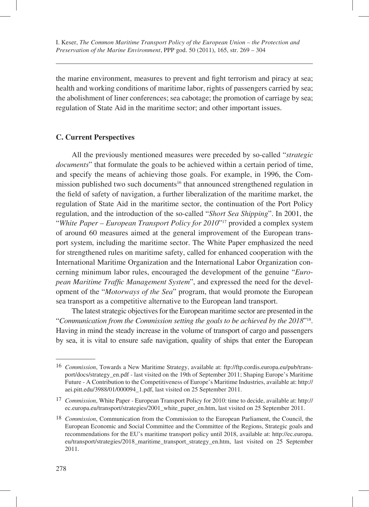the marine environment, measures to prevent and fight terrorism and piracy at sea; health and working conditions of maritime labor, rights of passengers carried by sea; the abolishment of liner conferences; sea cabotage; the promotion of carriage by sea; regulation of State Aid in the maritime sector; and other important issues.

## **C. Current Perspectives**

All the previously mentioned measures were preceded by so-called "*strategic documents*" that formulate the goals to be achieved within a certain period of time, and specify the means of achieving those goals. For example, in 1996, the Commission published two such documents<sup>16</sup> that announced strengthened regulation in the field of safety of navigation, a further liberalization of the maritime market, the regulation of State Aid in the maritime sector, the continuation of the Port Policy regulation, and the introduction of the so-called "*Short Sea Shipping*". In 2001, the "*White Paper – European Transport Policy for 2010*"17 provided a complex system of around 60 measures aimed at the general improvement of the European transport system, including the maritime sector. The White Paper emphasized the need for strengthened rules on maritime safety, called for enhanced cooperation with the International Maritime Organization and the International Labor Organization concerning minimum labor rules, encouraged the development of the genuine "*European Maritime Traffic Management System*", and expressed the need for the development of the "*Motorways of the Sea*" program, that would promote the European sea transport as a competitive alternative to the European land transport.

The latest strategic objectives for the European maritime sector are presented in the "*Communication from the Commission setting the goals to be achieved by the 2018*"18 . Having in mind the steady increase in the volume of transport of cargo and passengers by sea, it is vital to ensure safe navigation, quality of ships that enter the European

<sup>16</sup> *Commission*, Towards a New Maritime Strategy, available at: ftp://ftp.cordis.europa.eu/pub/transport/docs/strategy\_en.pdf - last visited on the 19th of September 2011; Shaping Europe's Maritime Future - A Contribution to the Competitiveness of Europe's Maritime Industries, available at: http:// aei.pitt.edu/3988/01/000094\_1.pdf, last visited on 25 September 2011.

<sup>17</sup> *Commission*, White Paper - European Transport Policy for 2010: time to decide, available at: http:// ec.europa.eu/transport/strategies/2001\_white\_paper\_en.htm, last visited on 25 September 2011.

<sup>18</sup> *Commission*, Communication from the Commission to the European Parliament, the Council, the European Economic and Social Committee and the Committee of the Regions, Strategic goals and recommendations for the EU's maritime transport policy until 2018, available at: http://ec.europa. eu/transport/strategies/2018\_maritime\_transport\_strategy\_en.htm, last visited on 25 September 2011.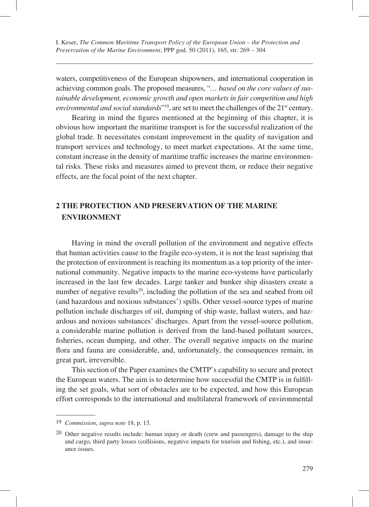waters, competitiveness of the European shipowners, and international cooperation in achieving common goals. The proposed measures, "*… based on the core values of sustainable development, economic growth and open markets in fair competition and high environmental and social standards*"<sup>19</sup>, are set to meet the challenges of the 21<sup>st</sup> century.

Bearing in mind the figures mentioned at the beginning of this chapter, it is obvious how important the maritime transport is for the successful realization of the global trade. It necessitates constant improvement in the quality of navigation and transport services and technology, to meet market expectations. At the same time, constant increase in the density of maritime traffic increases the marine environmental risks. These risks and measures aimed to prevent them, or reduce their negative effects, are the focal point of the next chapter.

# **2 THE PROTECTION AND PRESERVATION OF THE MARINE ENVIRONMENT**

Having in mind the overall pollution of the environment and negative effects that human activities cause to the fragile eco-system, it is not the least suprising that the protection of environment is reaching its momentum as a top priority of the international community. Negative impacts to the marine eco-systems have particularly increased in the last few decades. Large tanker and bunker ship disasters create a number of negative results<sup>20</sup>, including the pollution of the sea and seabed from oil (and hazardous and noxious substances') spills. Other vessel-source types of marine pollution include discharges of oil, dumping of ship waste, ballast waters, and hazardous and noxious substances' discharges. Apart from the vessel-source pollution, a considerable marine pollution is derived from the land-based pollutant sources, fisheries, ocean dumping, and other. The overall negative impacts on the marine flora and fauna are considerable, and, unfortunately, the consequences remain, in great part, irreversible.

This section of the Paper examines the CMTP's capability to secure and protect the European waters. The aim is to determine how successful the CMTP is in fulfilling the set goals, what sort of obstacles are to be expected, and how this European effort corresponds to the international and multilateral framework of environmental

<sup>19</sup> *Commission*, *supra note* 18, p. 13.

<sup>20</sup> Other negative results include: human injury or death (crew and passengers), damage to the ship and cargo, third party losses (collisions, negative impacts for tourism and fishing, etc.), and insurance issues.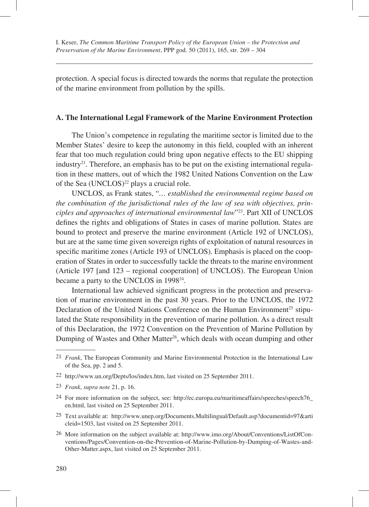protection. A special focus is directed towards the norms that regulate the protection of the marine environment from pollution by the spills.

### **A. The International Legal Framework of the Marine Environment Protection**

The Union's competence in regulating the maritime sector is limited due to the Member States' desire to keep the autonomy in this field, coupled with an inherent fear that too much regulation could bring upon negative effects to the EU shipping  $industry<sup>21</sup>$ . Therefore, an emphasis has to be put on the existing international regulation in these matters, out of which the 1982 United Nations Convention on the Law of the Sea (UNCLOS)<sup>22</sup> plays a crucial role.

UNCLOS, as Frank states, "*… established the environmental regime based on the combination of the jurisdictional rules of the law of sea with objectives, principles and approaches of international environmental law*"23. Part XII of UNCLOS defines the rights and obligations of States in cases of marine pollution. States are bound to protect and preserve the marine environment (Article 192 of UNCLOS), but are at the same time given sovereign rights of exploitation of natural resources in specific maritime zones (Article 193 of UNCLOS). Emphasis is placed on the cooperation of States in order to successfully tackle the threats to the marine environment (Article 197 [and 123 – regional cooperation] of UNCLOS). The European Union became a party to the UNCLOS in 1998<sup>24</sup>.

International law achieved significant progress in the protection and preservation of marine environment in the past 30 years. Prior to the UNCLOS, the 1972 Declaration of the United Nations Conference on the Human Environment<sup>25</sup> stipulated the State responsibility in the prevention of marine pollution. As a direct result of this Declaration, the 1972 Convention on the Prevention of Marine Pollution by Dumping of Wastes and Other Matter<sup>26</sup>, which deals with ocean dumping and other

- 25 Text available at: http://www.unep.org/Documents.Multilingual/Default.asp?documentid=97&arti cleid=1503, last visited on 25 September 2011.
- 26 More information on the subject available at: http://www.imo.org/About/Conventions/ListOfConventions/Pages/Convention-on-the-Prevention-of-Marine-Pollution-by-Dumping-of-Wastes-and-Other-Matter.aspx, last visited on 25 September 2011.

<sup>21</sup> *Frank*, The European Community and Marine Environmental Protection in the International Law of the Sea, pp. 2 and 5.

<sup>22</sup> http://www.un.org/Depts/los/index.htm, last visited on 25 September 2011.

<sup>23</sup> *Frank*, *supra note* 21, p. 16.

<sup>24</sup> For more information on the subject, see: http://ec.europa.eu/maritimeaffairs/speeches/speech76\_ en.html, last visited on 25 September 2011.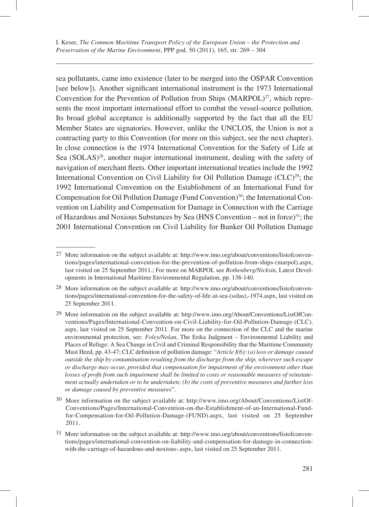sea pollutants, came into existence (later to be merged into the OSPAR Convention [see below]). Another significant international instrument is the 1973 International Convention for the Prevention of Pollution from Ships  $(MARPOL)^{27}$ , which represents the most important international effort to combat the vessel-source pollution. Its broad global acceptance is additionally supported by the fact that all the EU Member States are signatories. However, unlike the UNCLOS, the Union is not a contracting party to this Convention (for more on this subject, see the next chapter). In close connection is the 1974 International Convention for the Safety of Life at Sea  $(SOLAS)^{28}$ , another major international instrument, dealing with the safety of navigation of merchant fleets. Other important international treaties include the 1992 International Convention on Civil Liability for Oil Pollution Damage  $(CLC)^{29}$ ; the 1992 International Convention on the Establishment of an International Fund for Compensation for Oil Pollution Damage (Fund Convention)<sup>30</sup>; the International Convention on Liability and Compensation for Damage in Connection with the Carriage of Hazardous and Noxious Substances by Sea (HNS Convention – not in force)<sup>31</sup>; the 2001 International Convention on Civil Liability for Bunker Oil Pollution Damage

<sup>27</sup> More information on the subject available at: http://www.imo.org/about/conventions/listofconventions/pages/international-convention-for-the-prevention-of-pollution-from-ships-(marpol).aspx, last visited on 25 September 2011.; For more on MARPOL see *Rothenberg/Nicksin*, Latest Developments in International Maritime Environmental Regulation, pp. 138-140.

<sup>28</sup> More information on the subject available at: http://www.imo.org/about/conventions/listofconventions/pages/international-convention-for-the-safety-of-life-at-sea-(solas),-1974.aspx, last visited on 25 September 2011.

<sup>29</sup> More information on the subject available at: http://www.imo.org/About/Conventions/ListOfConventions/Pages/International-Convention-on-Civil-Liability-for-Oil-Pollution-Damage-(CLC). aspx, last visited on 25 September 2011. For more on the connection of the CLC and the marine environmental protection, see: *Foley/Nolan*, The Erika Judgment – Environmental Liability and Places of Refuge: A Sea Change in Civil and Criminal Responsibility that the Maritime Community Must Heed, pp. 43-47; CLC definition of pollution damage: "*Article I(6): (a) loss or damage caused outside the ship by contamination resulting from the discharge from the ship, wherever such escape or discharge may occur, provided that compensation for impairment of the environment other than*  losses of profit from such impairment shall be limited to costs or reasonable measures of reinstate*ment actually undertaken or to be undertaken; (b) the costs of preventive measures and further loss or damage caused by preventive measures*".

<sup>30</sup> More information on the subject available at: http://www.imo.org/About/Conventions/ListOf-Conventions/Pages/International-Convention-on-the-Establishment-of-an-International-Fundfor-Compensation-for-Oil-Pollution-Damage-(FUND).aspx, last visited on 25 September 2011.

<sup>31</sup> More information on the subject available at: http://www.imo.org/about/conventions/listofconventions/pages/international-convention-on-liability-and-compensation-for-damage-in-connectionwith-the-carriage-of-hazardous-and-noxious-.aspx, last visited on 25 September 2011.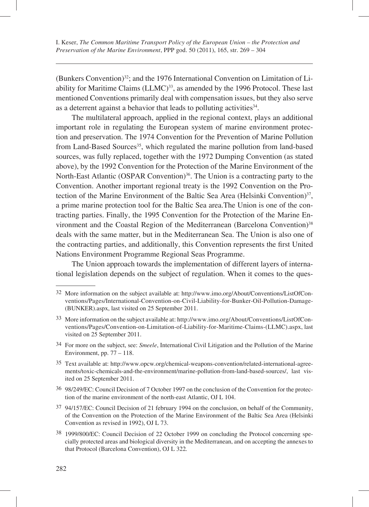(Bunkers Convention)<sup>32</sup>; and the 1976 International Convention on Limitation of Liability for Maritime Claims (LLMC)<sup>33</sup>, as amended by the 1996 Protocol. These last mentioned Conventions primarily deal with compensation issues, but they also serve as a deterrent against a behavior that leads to polluting activities<sup>34</sup>.

The multilateral approach, applied in the regional context, plays an additional important role in regulating the European system of marine environment protection and preservation. The 1974 Convention for the Prevention of Marine Pollution from Land-Based Sources<sup>35</sup>, which regulated the marine pollution from land-based sources, was fully replaced, together with the 1972 Dumping Convention (as stated above), by the 1992 Convention for the Protection of the Marine Environment of the North-East Atlantic (OSPAR Convention)<sup>36</sup>. The Union is a contracting party to the Convention. Another important regional treaty is the 1992 Convention on the Protection of the Marine Environment of the Baltic Sea Area (Helsinki Convention) $37$ , a prime marine protection tool for the Baltic Sea area.The Union is one of the contracting parties. Finally, the 1995 Convention for the Protection of the Marine Environment and the Coastal Region of the Mediterranean (Barcelona Convention)<sup>38</sup> deals with the same matter, but in the Mediterranean Sea. The Union is also one of the contracting parties, and additionally, this Convention represents the first United Nations Environment Programme Regional Seas Programme.

The Union approach towards the implementation of different layers of international legislation depends on the subject of regulation. When it comes to the ques-

- 34 For more on the subject, see: *Smeele*, International Civil Litigation and the Pollution of the Marine Environment, pp. 77 – 118.
- 35 Text available at: http://www.opcw.org/chemical-weapons-convention/related-international-agreements/toxic-chemicals-and-the-environment/marine-pollution-from-land-based-sources/, last visited on 25 September 2011.
- 36 98/249/EC: Council Decision of 7 October 1997 on the conclusion of the Convention for the protection of the marine environment of the north-east Atlantic, OJ L 104.
- 37 94/157/EC: Council Decision of 21 february 1994 on the conclusion, on behalf of the Community, of the Convention on the Protection of the Marine Environment of the Baltic Sea Area (Helsinki Convention as revised in 1992), OJ L 73.
- 38 1999/800/EC: Council Decision of 22 October 1999 on concluding the Protocol concerning specially protected areas and biological diversity in the Mediterranean, and on accepting the annexes to that Protocol (Barcelona Convention), OJ L 322*.*

<sup>32</sup> More information on the subject available at: http://www.imo.org/About/Conventions/ListOfConventions/Pages/International-Convention-on-Civil-Liability-for-Bunker-Oil-Pollution-Damage- (BUNKER).aspx, last visited on 25 September 2011.

<sup>33</sup> More information on the subject available at: http://www.imo.org/About/Conventions/ListOfConventions/Pages/Convention-on-Limitation-of-Liability-for-Maritime-Claims-(LLMC).aspx, last visited on 25 September 2011.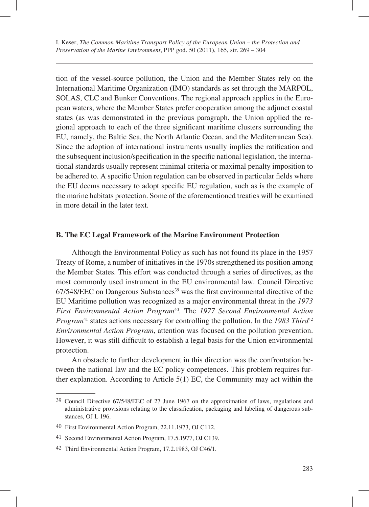tion of the vessel-source pollution, the Union and the Member States rely on the International Maritime Organization (IMO) standards as set through the MARPOL, SOLAS, CLC and Bunker Conventions. The regional approach applies in the European waters, where the Member States prefer cooperation among the adjunct coastal states (as was demonstrated in the previous paragraph, the Union applied the regional approach to each of the three significant maritime clusters surrounding the EU, namely, the Baltic Sea, the North Atlantic Ocean, and the Mediterranean Sea). Since the adoption of international instruments usually implies the ratification and the subsequent inclusion/specification in the specific national legislation, the international standards usually represent minimal criteria or maximal penalty imposition to be adhered to. A specific Union regulation can be observed in particular fields where the EU deems necessary to adopt specific EU regulation, such as is the example of the marine habitats protection. Some of the aforementioned treaties will be examined in more detail in the later text.

### **B. The EC Legal Framework of the Marine Environment Protection**

Although the Environmental Policy as such has not found its place in the 1957 Treaty of Rome, a number of initiatives in the 1970s strengthened its position among the Member States. This effort was conducted through a series of directives, as the most commonly used instrument in the EU environmental law. Council Directive  $67/548/EEC$  on Dangerous Substances<sup>39</sup> was the first environmental directive of the EU Maritime pollution was recognized as a major environmental threat in the *1973 First Environmental Action Program*40. The *1977 Second Environmental Action Program*<sup>41</sup> states actions necessary for controlling the pollution. In the 1983 Third<sup>42</sup> *Environmental Action Program*, attention was focused on the pollution prevention. However, it was still difficult to establish a legal basis for the Union environmental protection.

An obstacle to further development in this direction was the confrontation between the national law and the EC policy competences. This problem requires further explanation. According to Article 5(1) EC, the Community may act within the

<sup>39</sup> Council Directive 67/548/EEC of 27 June 1967 on the approximation of laws, regulations and administrative provisions relating to the classification, packaging and labeling of dangerous substances, OJ L 196.

<sup>40</sup> First Environmental Action Program, 22.11.1973, OJ C112.

<sup>41</sup> Second Environmental Action Program, 17.5.1977, OJ C139.

<sup>42</sup> Third Environmental Action Program, 17.2.1983, OJ C46/1.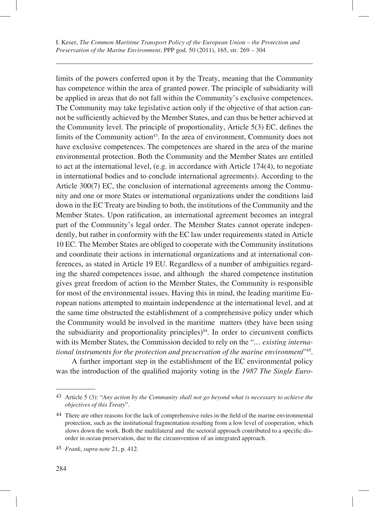limits of the powers conferred upon it by the Treaty, meaning that the Community has competence within the area of granted power. The principle of subsidiarity will be applied in areas that do not fall within the Community's exclusive competences. The Community may take legislative action only if the objective of that action cannot be sufficiently achieved by the Member States, and can thus be better achieved at the Community level. The principle of proportionality, Article  $5(3)$  EC, defines the limits of the Community action<sup>43</sup>. In the area of environment, Community does not have exclusive competences. The competences are shared in the area of the marine environmental protection. Both the Community and the Member States are entitled to act at the international level, (e.g. in accordance with Article 174(4), to negotiate in international bodies and to conclude international agreements). According to the Article 300(7) EC, the conclusion of international agreements among the Community and one or more States or international organizations under the conditions laid down in the EC Treaty are binding to both, the institutions of the Community and the Member States. Upon ratification, an international agreement becomes an integral part of the Community's legal order. The Member States cannot operate independently, but rather in conformity with the EC law under requirements stated in Article 10 EC. The Member States are obliged to cooperate with the Community institutions and coordinate their actions in international organizations and at international conferences, as stated in Article 19 EU. Regardless of a number of ambiguities regarding the shared competences issue, and although the shared competence institution gives great freedom of action to the Member States, the Community is responsible for most of the environmental issues. Having this in mind, the leading maritime European nations attempted to maintain independence at the international level, and at the same time obstructed the establishment of a comprehensive policy under which the Community would be involved in the maritime matters (they have been using the subsidiarity and proportionality principles) $44$ . In order to circumvent conflicts with its Member States, the Commission decided to rely on the "*… existing international instruments for the protection and preservation of the marine environment*"45.

A further important step in the establishment of the EC environmental policy was the introduction of the qualified majority voting in the 1987 The Single Euro-

<sup>43</sup> Article 5 (3): "*Any action by the Community shall not go beyond what is necessary to achieve the objectives of this Treaty*".

<sup>44</sup> There are other reasons for the lack of comprehensive rules in the field of the marine environmental protection, such as the institutional fragmentation resulting from a low level of cooperation, which slows down the work. Both the multilateral and the sectoral approach contributed to a specific disorder in ocean preservation, due to the circumvention of an integrated approach.

<sup>45</sup> *Frank*, *supra note* 21, p. 412.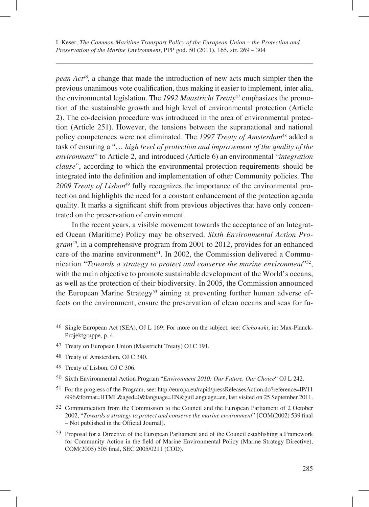*pean Act46*, a change that made the introduction of new acts much simpler then the previous unanimous vote qualification, thus making it easier to implement, inter alia, the environmental legislation. The *1992 Maastricht Treaty*<sup>47</sup> emphasizes the promotion of the sustainable growth and high level of environmental protection (Article 2). The co-decision procedure was introduced in the area of environmental protection (Article 251). However, the tensions between the supranational and national policy competences were not eliminated. The 1997 Treaty of Amsterdam<sup>48</sup> added a task of ensuring a "… *high level of protection and improvement of the quality of the environment*" to Article 2, and introduced (Article 6) an environmental "*integration clause*", according to which the environmental protection requirements should be integrated into the definition and implementation of other Community policies. The *2009 Treaty of Lisbon*49 fully recognizes the importance of the environmental protection and highlights the need for a constant enhancement of the protection agenda quality. It marks a significant shift from previous objectives that have only concentrated on the preservation of environment.

In the recent years, a visible movement towards the acceptance of an Integrated Ocean (Maritime) Policy may be observed. *Sixth Environmental Action Program50*, in a comprehensive program from 2001 to 2012, provides for an enhanced care of the marine environment<sup>51</sup>. In 2002, the Commission delivered a Communication "*Towards a strategy to protect and conserve the marine environment*"52, with the main objective to promote sustainable development of the World's oceans, as well as the protection of their biodiversity. In 2005, the Commission announced the European Marine Strategy<sup>53</sup> aiming at preventing further human adverse effects on the environment, ensure the preservation of clean oceans and seas for fu-

- 49 Treaty of Lisbon, OJ C 306.
- 50 Sixth Environmental Action Program "*Environment 2010: Our Future, Our Choice*" OJ L 242.
- 51 For the progress of the Program, see: http://europa.eu/rapid/pressReleasesAction.do?reference=IP/11 /996&format=HTML&aged=0&language=EN&guiLanguage=en, last visited on 25 September 2011.
- 52 Communication from the Commission to the Council and the European Parliament of 2 October 2002, "Towards a strategy to protect and conserve the marine environment" [COM(2002) 539 final – Not published in the Official Journal].
- 53 Proposal for a Directive of the European Parliament and of the Council establishing a Framework for Community Action in the field of Marine Environmental Policy (Marine Strategy Directive), COM(2005) 505 final, SEC 2005/0211 (COD).

<sup>46</sup> Single European Act (SEA), OJ L 169; For more on the subject, see: *Cichowski*, in: Max-Planck-Projektgruppe, p. 4.

<sup>47</sup> Treaty on European Union (Maastricht Treaty) OJ C 191.

<sup>48</sup> Treaty of Amsterdam, OJ C 340.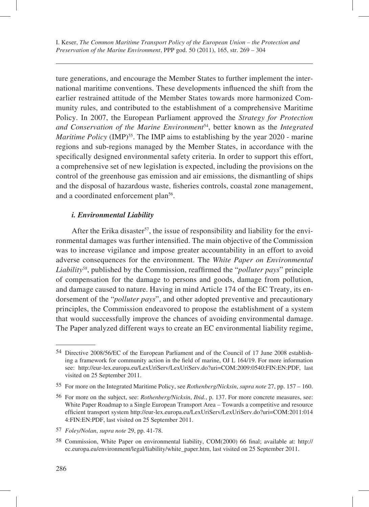ture generations, and encourage the Member States to further implement the international maritime conventions. These developments influenced the shift from the earlier restrained attitude of the Member States towards more harmonized Community rules, and contributed to the establishment of a comprehensive Maritime Policy. In 2007, the European Parliament approved the *Strategy for Protection and Conservation of the Marine Environment*54, better known as the *Integrated Maritime Policy* (IMP)<sup>55</sup>. The IMP aims to establishing by the year 2020 - marine regions and sub-regions managed by the Member States, in accordance with the specifically designed environmental safety criteria. In order to support this effort, a comprehensive set of new legislation is expected, including the provisions on the control of the greenhouse gas emission and air emissions, the dismantling of ships and the disposal of hazardous waste, fisheries controls, coastal zone management, and a coordinated enforcement plan<sup>56</sup>.

### *i. Environmental Liability*

After the Erika disaster<sup>57</sup>, the issue of responsibility and liability for the environmental damages was further intensified. The main objective of the Commission was to increase vigilance and impose greater accountability in an effort to avoid adverse consequences for the environment. The *White Paper on Environmental Liability*<sup>58</sup>, published by the Commission, reaffirmed the "*polluter pays*" principle of compensation for the damage to persons and goods, damage from pollution, and damage caused to nature. Having in mind Article 174 of the EC Treaty, its endorsement of the "*polluter pays*", and other adopted preventive and precautionary principles, the Commission endeavored to propose the establishment of a system that would successfully improve the chances of avoiding environmental damage. The Paper analyzed different ways to create an EC environmental liability regime,

<sup>54</sup> Directive 2008/56/EC of the European Parliament and of the Council of 17 June 2008 establishing a framework for community action in the field of marine, OJ L 164/19. For more information see: http://eur-lex.europa.eu/LexUriServ/LexUriServ.do?uri=COM:2009:0540:FIN:EN:PDF, last visited on 25 September 2011.

<sup>55</sup> For more on the Integrated Maritime Policy, see *Rothenberg/Nicksin*, *supra note* 27, pp. 157 – 160.

<sup>56</sup> For more on the subject, see: *Rothenberg/Nicksin*, *Ibid.*, p. 137. For more concrete measures, see: White Paper Roadmap to a Single European Transport Area – Towards a competitive and resource efficient transport system http://eur-lex.europa.eu/LexUriServ/LexUriServ.do?uri=COM:2011:014 4:FIN:EN:PDF, last visited on 25 September 2011.

<sup>57</sup> *Foley/Nolan*, *supra note* 29, pp. 41-78.

<sup>58</sup> Commission, White Paper on environmental liability, COM(2000) 66 final; available at: http:// ec.europa.eu/environment/legal/liability/white\_paper.htm, last visited on 25 September 2011.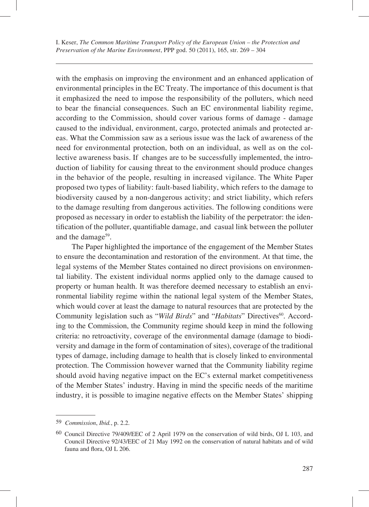with the emphasis on improving the environment and an enhanced application of environmental principles in the EC Treaty. The importance of this document is that it emphasized the need to impose the responsibility of the polluters, which need to bear the financial consequences. Such an EC environmental liability regime, according to the Commission, should cover various forms of damage - damage caused to the individual, environment, cargo, protected animals and protected areas. What the Commission saw as a serious issue was the lack of awareness of the need for environmental protection, both on an individual, as well as on the collective awareness basis. If changes are to be successfully implemented, the introduction of liability for causing threat to the environment should produce changes in the behavior of the people, resulting in increased vigilance. The White Paper proposed two types of liability: fault-based liability, which refers to the damage to biodiversity caused by a non-dangerous activity; and strict liability, which refers to the damage resulting from dangerous activities. The following conditions were proposed as necessary in order to establish the liability of the perpetrator: the identification of the polluter, quantifiable damage, and casual link between the polluter and the damage<sup>59</sup>.

The Paper highlighted the importance of the engagement of the Member States to ensure the decontamination and restoration of the environment. At that time, the legal systems of the Member States contained no direct provisions on environmental liability. The existent individual norms applied only to the damage caused to property or human health. It was therefore deemed necessary to establish an environmental liability regime within the national legal system of the Member States, which would cover at least the damage to natural resources that are protected by the Community legislation such as "*Wild Birds*" and "*Habitats*" Directives<sup>60</sup>. According to the Commission, the Community regime should keep in mind the following criteria: no retroactivity, coverage of the environmental damage (damage to biodiversity and damage in the form of contamination of sites), coverage of the traditional types of damage, including damage to health that is closely linked to environmental protection. The Commission however warned that the Community liability regime should avoid having negative impact on the EC's external market competitiveness of the Member States' industry. Having in mind the specific needs of the maritime industry, it is possible to imagine negative effects on the Member States' shipping

<sup>59</sup> *Commission*, *Ibid.*, p. 2.2.

<sup>60</sup> Council Directive 79/409/EEC of 2 April 1979 on the conservation of wild birds, OJ L 103, and Council Directive 92/43/EEC of 21 May 1992 on the conservation of natural habitats and of wild fauna and flora, OJ L 206.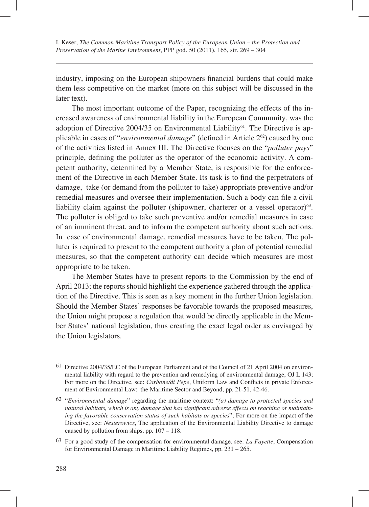industry, imposing on the European shipowners financial burdens that could make them less competitive on the market (more on this subject will be discussed in the later text).

The most important outcome of the Paper, recognizing the effects of the increased awareness of environmental liability in the European Community, was the adoption of Directive 2004/35 on Environmental Liability $6<sup>1</sup>$ . The Directive is applicable in cases of "*environmental damage*" (defined in Article 2<sup>62</sup>) caused by one of the activities listed in Annex III. The Directive focuses on the "*polluter pays*" principle, defining the polluter as the operator of the economic activity. A competent authority, determined by a Member State, is responsible for the enforcement of the Directive in each Member State. Its task is to find the perpetrators of damage, take (or demand from the polluter to take) appropriate preventive and/or remedial measures and oversee their implementation. Such a body can file a civil liability claim against the polluter (shipowner, charterer or a vessel operator) $63$ . The polluter is obliged to take such preventive and/or remedial measures in case of an imminent threat, and to inform the competent authority about such actions. In case of environmental damage, remedial measures have to be taken. The polluter is required to present to the competent authority a plan of potential remedial measures, so that the competent authority can decide which measures are most appropriate to be taken.

The Member States have to present reports to the Commission by the end of April 2013; the reports should highlight the experience gathered through the application of the Directive. This is seen as a key moment in the further Union legislation. Should the Member States' responses be favorable towards the proposed measures, the Union might propose a regulation that would be directly applicable in the Member States' national legislation, thus creating the exact legal order as envisaged by the Union legislators.

<sup>61</sup> Directive 2004/35/EC of the European Parliament and of the Council of 21 April 2004 on environmental liability with regard to the prevention and remedying of environmental damage, OJ L 143; For more on the Directive, see: *Carbone/di Pepe*, Uniform Law and Conflicts in private Enforcement of Environmental Law: the Maritime Sector and Beyond, pp. 21-51, 42-46.

<sup>62 &</sup>quot;*Environmental damage*" regarding the maritime context: "*(a) damage to protected species and natural habitats, which is any damage that has significant adverse effects on reaching or maintaining the favorable conservation status of such habitats or species*"; For more on the impact of the Directive, see: *Nesterowicz*, The application of the Environmental Liability Directive to damage caused by pollution from ships, pp. 107 – 118.

<sup>63</sup> For a good study of the compensation for environmental damage, see: *La Fayette*, Compensation for Environmental Damage in Maritime Liability Regimes, pp. 231 – 265.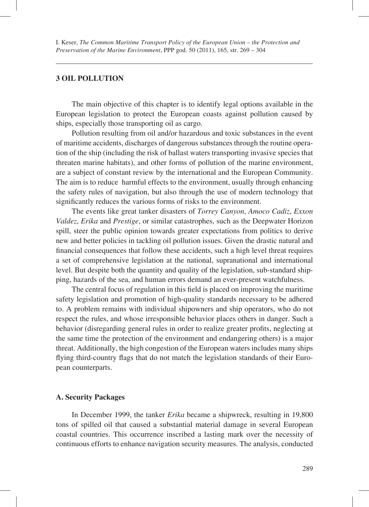#### **3 OIL POLLUTION**

The main objective of this chapter is to identify legal options available in the European legislation to protect the European coasts against pollution caused by ships, especially those transporting oil as cargo.

Pollution resulting from oil and/or hazardous and toxic substances in the event of maritime accidents, discharges of dangerous substances through the routine operation of the ship (including the risk of ballast waters transporting invasive species that threaten marine habitats), and other forms of pollution of the marine environment, are a subject of constant review by the international and the European Community. The aim is to reduce harmful effects to the environment, usually through enhancing the safety rules of navigation, but also through the use of modern technology that significantly reduces the various forms of risks to the environment.

The events like great tanker disasters of *Torrey Canyon*, *Amoco Cadiz*, *Exxon Valdez*, *Erika* and *Prestige*, or similar catastrophes, such as the Deepwater Horizon spill, steer the public opinion towards greater expectations from politics to derive new and better policies in tackling oil pollution issues. Given the drastic natural and financial consequences that follow these accidents, such a high level threat requires a set of comprehensive legislation at the national, supranational and international level. But despite both the quantity and quality of the legislation, sub-standard shipping, hazards of the sea, and human errors demand an ever-present watchfulness.

The central focus of regulation in this field is placed on improving the maritime safety legislation and promotion of high-quality standards necessary to be adhered to. A problem remains with individual shipowners and ship operators, who do not respect the rules, and whose irresponsible behavior places others in danger. Such a behavior (disregarding general rules in order to realize greater profits, neglecting at the same time the protection of the environment and endangering others) is a major threat. Additionally, the high congestion of the European waters includes many ships flying third-country flags that do not match the legislation standards of their European counterparts.

#### **A. Security Packages**

In December 1999, the tanker *Erika* became a shipwreck, resulting in 19,800 tons of spilled oil that caused a substantial material damage in several European coastal countries. This occurrence inscribed a lasting mark over the necessity of continuous efforts to enhance navigation security measures. The analysis, conducted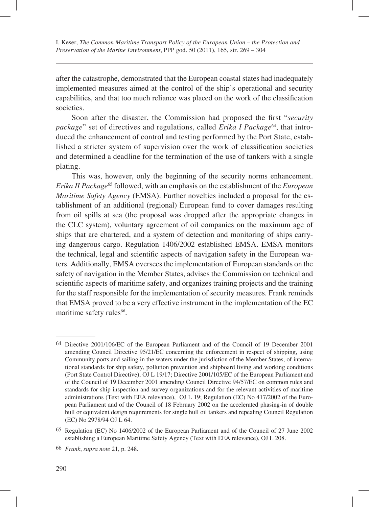after the catastrophe, demonstrated that the European coastal states had inadequately implemented measures aimed at the control of the ship's operational and security capabilities, and that too much reliance was placed on the work of the classification societies.

Soon after the disaster, the Commission had proposed the first "*security package*" set of directives and regulations, called *Erika I Package*<sup>64</sup>, that introduced the enhancement of control and testing performed by the Port State, established a stricter system of supervision over the work of classification societies and determined a deadline for the termination of the use of tankers with a single plating.

This was, however, only the beginning of the security norms enhancement. *Erika II Package*65 followed, with an emphasis on the establishment of the *European Maritime Safety Agency* (EMSA). Further novelties included a proposal for the establishment of an additional (regional) European fund to cover damages resulting from oil spills at sea (the proposal was dropped after the appropriate changes in the CLC system), voluntary agreement of oil companies on the maximum age of ships that are chartered, and a system of detection and monitoring of ships carrying dangerous cargo. Regulation 1406/2002 established EMSA. EMSA monitors the technical, legal and scientific aspects of navigation safety in the European waters. Additionally, EMSA oversees the implementation of European standards on the safety of navigation in the Member States, advises the Commission on technical and scientific aspects of maritime safety, and organizes training projects and the training for the staff responsible for the implementation of security measures. Frank reminds that EMSA proved to be a very effective instrument in the implementation of the EC maritime safety rules<sup>66</sup>.

<sup>64</sup> Directive 2001/106/EC of the European Parliament and of the Council of 19 December 2001 amending Council Directive 95/21/EC concerning the enforcement in respect of shipping, using Community ports and sailing in the waters under the jurisdiction of the Member States, of international standards for ship safety, pollution prevention and shipboard living and working conditions (Port State Control Directive), OJ L 19/17; Directive 2001/105/EC of the European Parliament and of the Council of 19 December 2001 amending Council Directive 94/57/EC on common rules and standards for ship inspection and survey organizations and for the relevant activities of maritime administrations (Text with EEA relevance), OJ L 19; Regulation (EC) No 417/2002 of the European Parliament and of the Council of 18 February 2002 on the accelerated phasing-in of double hull or equivalent design requirements for single hull oil tankers and repealing Council Regulation (EC) No 2978/94 OJ L 64.

<sup>65</sup> Regulation (EC) No 1406/2002 of the European Parliament and of the Council of 27 June 2002 establishing a European Maritime Safety Agency (Text with EEA relevance), OJ L 208.

<sup>66</sup> *Frank*, *supra note* 21, p. 248.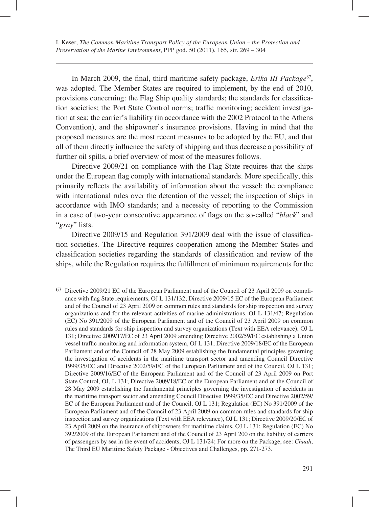In March 2009, the final, third maritime safety package, *Erika III Package*<sup>67</sup>, was adopted. The Member States are required to implement, by the end of 2010, provisions concerning: the Flag Ship quality standards; the standards for classification societies; the Port State Control norms; traffic monitoring; accident investigation at sea; the carrier's liability (in accordance with the 2002 Protocol to the Athens Convention), and the shipowner's insurance provisions. Having in mind that the proposed measures are the most recent measures to be adopted by the EU, and that all of them directly influence the safety of shipping and thus decrease a possibility of further oil spills, a brief overview of most of the measures follows.

Directive 2009/21 on compliance with the Flag State requires that the ships under the European flag comply with international standards. More specifically, this primarily reflects the availability of information about the vessel; the compliance with international rules over the detention of the vessel; the inspection of ships in accordance with IMO standards; and a necessity of reporting to the Commission in a case of two-year consecutive appearance of flags on the so-called "*black*" and "*gray*" lists.

Directive 2009/15 and Regulation 391/2009 deal with the issue of classification societies. The Directive requires cooperation among the Member States and classification societies regarding the standards of classification and review of the ships, while the Regulation requires the fulfillment of minimum requirements for the

<sup>67</sup> Directive 2009/21 EC of the European Parliament and of the Council of 23 April 2009 on compliance with flag State requirements, OJ L 131/132; Directive 2009/15 EC of the European Parliament and of the Council of 23 April 2009 on common rules and standards for ship inspection and survey organizations and for the relevant activities of marine administrations, OJ L 131/47; Regulation (EC) No 391/2009 of the European Parliament and of the Council of 23 April 2009 on common rules and standards for ship inspection and survey organizations (Text with EEA relevance), OJ L 131; Directive 2009/17/EC of 23 April 2009 amending Directive 2002/59/EC establishing a Union vessel traffic monitoring and information system, OJ L 131; Directive 2009/18/EC of the European Parliament and of the Council of 28 May 2009 establishing the fundamental principles governing the investigation of accidents in the maritime transport sector and amending Council Directive 1999/35/EC and Directive 2002/59/EC of the European Parliament and of the Council, OJ L 131; Directive 2009/16/EC of the European Parliament and of the Council of 23 April 2009 on Port State Control, OJ, L 131; Directive 2009/18/EC of the European Parliament and of the Council of 28 May 2009 establishing the fundamental principles governing the investigation of accidents in the maritime transport sector and amending Council Directive 1999/35/EC and Directive 2002/59/ EC of the European Parliament and of the Council, OJ L 131; Regulation (EC) No 391/2009 of the European Parliament and of the Council of 23 April 2009 on common rules and standards for ship inspection and survey organizations (Text with EEA relevance), OJ L 131; Directive 2009/20/EC of 23 April 2009 on the insurance of shipowners for maritime claims, OJ L 131; Regulation (EC) No 392/2009 of the European Parliament and of the Council of 23 April 200 on the liability of carriers of passengers by sea in the event of accidents, OJ L 131/24; For more on the Package, see: *Chuah*, The Third EU Maritime Safety Package - Objectives and Challenges, pp. 271-273.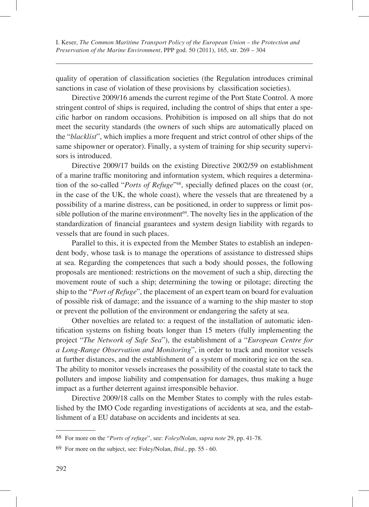quality of operation of classification societies (the Regulation introduces criminal sanctions in case of violation of these provisions by classification societies).

Directive 2009/16 amends the current regime of the Port State Control. A more stringent control of ships is required, including the control of ships that enter a specific harbor on random occasions. Prohibition is imposed on all ships that do not meet the security standards (the owners of such ships are automatically placed on the "*blacklist*", which implies a more frequent and strict control of other ships of the same shipowner or operator). Finally, a system of training for ship security supervisors is introduced.

Directive 2009/17 builds on the existing Directive 2002/59 on establishment of a marine traffic monitoring and information system, which requires a determination of the so-called "*Ports of Refuge*"<sup>68</sup>, specially defined places on the coast (or, in the case of the UK, the whole coast), where the vessels that are threatened by a possibility of a marine distress, can be positioned, in order to suppress or limit possible pollution of the marine environment $69$ . The novelty lies in the application of the standardization of financial guarantees and system design liability with regards to vessels that are found in such places.

Parallel to this, it is expected from the Member States to establish an independent body, whose task is to manage the operations of assistance to distressed ships at sea. Regarding the competences that such a body should posses, the following proposals are mentioned: restrictions on the movement of such a ship, directing the movement route of such a ship; determining the towing or pilotage; directing the ship to the "*Port of Refuge*", the placement of an expert team on board for evaluation of possible risk of damage; and the issuance of a warning to the ship master to stop or prevent the pollution of the environment or endangering the safety at sea.

Other novelties are related to: a request of the installation of automatic identification systems on fishing boats longer than 15 meters (fully implementing the project "*The Network of Safe Sea*"), the establishment of a "*European Centre for a Long-Range Observation and Monitoring*", in order to track and monitor vessels at further distances, and the establishment of a system of monitoring ice on the sea. The ability to monitor vessels increases the possibility of the coastal state to tack the polluters and impose liability and compensation for damages, thus making a huge impact as a further deterrent against irresponsible behavior.

Directive 2009/18 calls on the Member States to comply with the rules established by the IMO Code regarding investigations of accidents at sea, and the establishment of a EU database on accidents and incidents at sea.

<sup>68</sup> For more on the "*Ports of refuge*", see: *Foley/Nolan*, *supra note* 29, pp. 41-78.

<sup>69</sup> For more on the subject, see: Foley/Nolan, *Ibid.*, pp. 55 - 60.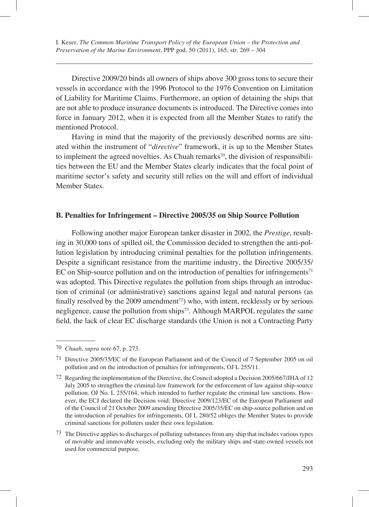Directive 2009/20 binds all owners of ships above 300 gross tons to secure their vessels in accordance with the 1996 Protocol to the 1976 Convention on Limitation of Liability for Maritime Claims. Furthermore, an option of detaining the ships that are not able to produce insurance documents is introduced. The Directive comes into force in January 2012, when it is expected from all the Member States to ratify the mentioned Protocol.

Having in mind that the majority of the previously described norms are situated within the instrument of "*directive*" framework, it is up to the Member States to implement the agreed novelties. As Chuah remarks<sup>70</sup>, the division of responsibilities between the EU and the Member States clearly indicates that the focal point of maritime sector's safety and security still relies on the will and effort of individual Member States.

### **B. Penalties for Infringement – Directive 2005/35 on Ship Source Pollution**

Following another major European tanker disaster in 2002, the *Prestige*, resulting in 30,000 tons of spilled oil, the Commission decided to strengthen the anti-pollution legislation by introducing criminal penalties for the pollution infringements. Despite a significant resistance from the maritime industry, the Directive 2005/35/ EC on Ship-source pollution and on the introduction of penalties for infringements $71$ was adopted. This Directive regulates the pollution from ships through an introduction of criminal (or administrative) sanctions against legal and natural persons (as finally resolved by the 2009 amendment<sup>72</sup>) who, with intent, recklessly or by serious negligence, cause the pollution from ships<sup>73</sup>. Although MARPOL regulates the same field, the lack of clear EC discharge standards (the Union is not a Contracting Party

<sup>70</sup> *Chuah*, *supra note* 67, p. 273.

<sup>71</sup> Directive 2005/35/EC of the European Parliament and of the Council of 7 September 2005 on oil pollution and on the introduction of penalties for infringements, OJ L 255/11.

<sup>72</sup> Regarding the implementation of the Directive, the Council adopted a Decision 2005/667/JHA of 12 July 2005 to strengthen the criminal-law framework for the enforcement of law against ship-source pollution, OJ No. L 255/164, which intended to further regulate the criminal law sanctions. However, the ECJ declared the Decision void; Directive 2009/123/EC of the European Parliament and of the Council of 21 October 2009 amending Directive 2005/35/EC on ship-source pollution and on the introduction of penalties for infringements, OJ L 280/52 obliges the Member States to provide criminal sanctions for polluters under their own legislation.

<sup>73</sup> The Directive applies to discharges of polluting substances from any ship that includes various types of movable and immovable vessels, excluding only the military ships and state-owned vessels not used for commercial purpose.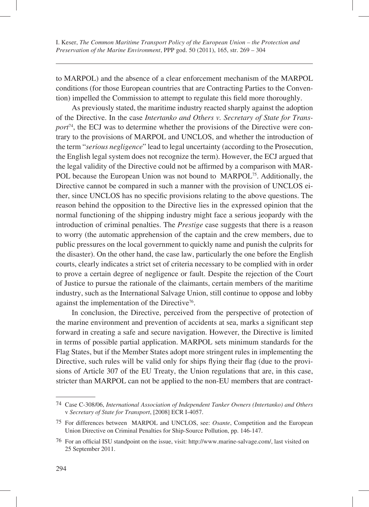to MARPOL) and the absence of a clear enforcement mechanism of the MARPOL conditions (for those European countries that are Contracting Parties to the Convention) impelled the Commission to attempt to regulate this field more thoroughly.

As previously stated, the maritime industry reacted sharply against the adoption of the Directive. In the case *Intertanko and Others v. Secretary of State for Transport*74, the ECJ was to determine whether the provisions of the Directive were contrary to the provisions of MARPOL and UNCLOS, and whether the introduction of the term "*serious negligence*" lead to legal uncertainty (according to the Prosecution, the English legal system does not recognize the term). However, the ECJ argued that the legal validity of the Directive could not be affirmed by a comparison with MAR-POL because the European Union was not bound to MARPOL<sup>75</sup>. Additionally, the Directive cannot be compared in such a manner with the provision of UNCLOS either, since UNCLOS has no specific provisions relating to the above questions. The reason behind the opposition to the Directive lies in the expressed opinion that the normal functioning of the shipping industry might face a serious jeopardy with the introduction of criminal penalties. The *Prestige* case suggests that there is a reason to worry (the automatic apprehension of the captain and the crew members, due to public pressures on the local government to quickly name and punish the culprits for the disaster). On the other hand, the case law, particularly the one before the English courts, clearly indicates a strict set of criteria necessary to be complied with in order to prove a certain degree of negligence or fault. Despite the rejection of the Court of Justice to pursue the rationale of the claimants, certain members of the maritime industry, such as the International Salvage Union, still continue to oppose and lobby against the implementation of the Directive<sup>76</sup>.

In conclusion, the Directive, perceived from the perspective of protection of the marine environment and prevention of accidents at sea, marks a significant step forward in creating a safe and secure navigation. However, the Directive is limited in terms of possible partial application. MARPOL sets minimum standards for the Flag States, but if the Member States adopt more stringent rules in implementing the Directive, such rules will be valid only for ships flying their flag (due to the provisions of Article 307 of the EU Treaty, the Union regulations that are, in this case, stricter than MARPOL can not be applied to the non-EU members that are contract-

<sup>74</sup> Case C-308/06, *International Association of Independent Tanker Owners (Intertanko) and Others* v *Secretary of State for Transport*, [2008] ECR I-4057.

<sup>75</sup> For differences between MARPOL and UNCLOS, see: *Osante*, Competition and the European Union Directive on Criminal Penalties for Ship-Source Pollution, pp. 146-147.

<sup>76</sup> For an official ISU standpoint on the issue, visit: http://www.marine-salvage.com/, last visited on 25 September 2011.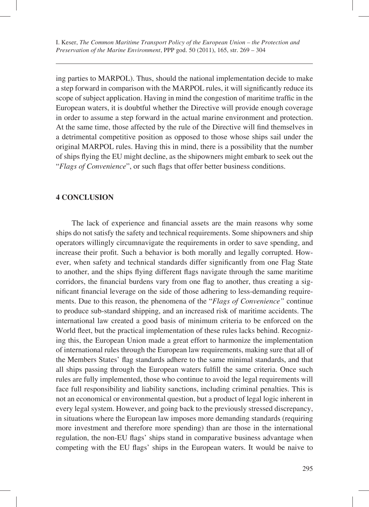ing parties to MARPOL). Thus, should the national implementation decide to make a step forward in comparison with the MARPOL rules, it will significantly reduce its scope of subject application. Having in mind the congestion of maritime traffic in the European waters, it is doubtful whether the Directive will provide enough coverage in order to assume a step forward in the actual marine environment and protection. At the same time, those affected by the rule of the Directive will find themselves in a detrimental competitive position as opposed to those whose ships sail under the original MARPOL rules. Having this in mind, there is a possibility that the number of ships flying the EU might decline, as the shipowners might embark to seek out the "*Flags of Convenience*", or such flags that offer better business conditions.

#### **4 CONCLUSION**

The lack of experience and financial assets are the main reasons why some ships do not satisfy the safety and technical requirements. Some shipowners and ship operators willingly circumnavigate the requirements in order to save spending, and increase their profit. Such a behavior is both morally and legally corrupted. However, when safety and technical standards differ significantly from one Flag State to another, and the ships flying different flags navigate through the same maritime corridors, the financial burdens vary from one flag to another, thus creating a significant financial leverage on the side of those adhering to less-demanding requirements. Due to this reason, the phenomena of the "*Flags of Convenience"* continue to produce sub-standard shipping, and an increased risk of maritime accidents. The international law created a good basis of minimum criteria to be enforced on the World fleet, but the practical implementation of these rules lacks behind. Recognizing this, the European Union made a great effort to harmonize the implementation of international rules through the European law requirements, making sure that all of the Members States' flag standards adhere to the same minimal standards, and that all ships passing through the European waters fulfill the same criteria. Once such rules are fully implemented, those who continue to avoid the legal requirements will face full responsibility and liability sanctions, including criminal penalties. This is not an economical or environmental question, but a product of legal logic inherent in every legal system. However, and going back to the previously stressed discrepancy, in situations where the European law imposes more demanding standards (requiring more investment and therefore more spending) than are those in the international regulation, the non-EU flags' ships stand in comparative business advantage when competing with the EU flags' ships in the European waters. It would be naive to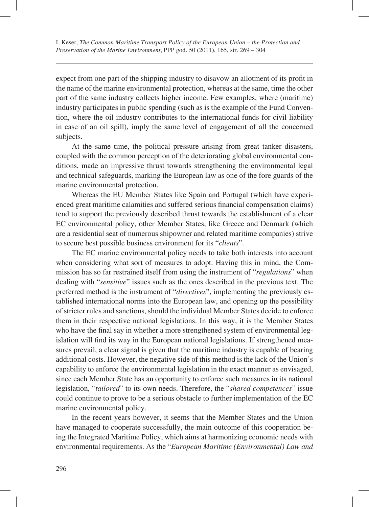expect from one part of the shipping industry to disavow an allotment of its profit in the name of the marine environmental protection, whereas at the same, time the other part of the same industry collects higher income. Few examples, where (maritime) industry participates in public spending (such as is the example of the Fund Convention, where the oil industry contributes to the international funds for civil liability in case of an oil spill), imply the same level of engagement of all the concerned subjects.

At the same time, the political pressure arising from great tanker disasters, coupled with the common perception of the deteriorating global environmental conditions, made an impressive thrust towards strengthening the environmental legal and technical safeguards, marking the European law as one of the fore guards of the marine environmental protection.

Whereas the EU Member States like Spain and Portugal (which have experienced great maritime calamities and suffered serious financial compensation claims) tend to support the previously described thrust towards the establishment of a clear EC environmental policy, other Member States, like Greece and Denmark (which are a residential seat of numerous shipowner and related maritime companies) strive to secure best possible business environment for its "*clients*".

The EC marine environmental policy needs to take both interests into account when considering what sort of measures to adopt. Having this in mind, the Commission has so far restrained itself from using the instrument of "*regulations*" when dealing with "*sensitive*" issues such as the ones described in the previous text. The preferred method is the instrument of "*directives*", implementing the previously established international norms into the European law, and opening up the possibility of stricter rules and sanctions, should the individual Member States decide to enforce them in their respective national legislations. In this way, it is the Member States who have the final say in whether a more strengthened system of environmental legislation will find its way in the European national legislations. If strengthened measures prevail, a clear signal is given that the maritime industry is capable of bearing additional costs. However, the negative side of this method is the lack of the Union's capability to enforce the environmental legislation in the exact manner as envisaged, since each Member State has an opportunity to enforce such measures in its national legislation, "*tailored*" to its own needs. Therefore, the "*shared competences*" issue could continue to prove to be a serious obstacle to further implementation of the EC marine environmental policy.

In the recent years however, it seems that the Member States and the Union have managed to cooperate successfully, the main outcome of this cooperation being the Integrated Maritime Policy, which aims at harmonizing economic needs with environmental requirements. As the "*European Maritime (Environmental) Law and*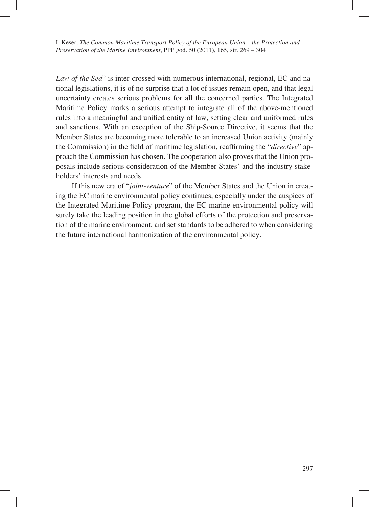*Law of the Sea*" is inter-crossed with numerous international, regional, EC and national legislations, it is of no surprise that a lot of issues remain open, and that legal uncertainty creates serious problems for all the concerned parties. The Integrated Maritime Policy marks a serious attempt to integrate all of the above-mentioned rules into a meaningful and unified entity of law, setting clear and uniformed rules and sanctions. With an exception of the Ship-Source Directive, it seems that the Member States are becoming more tolerable to an increased Union activity (mainly the Commission) in the field of maritime legislation, reaffirming the "*directive*" approach the Commission has chosen. The cooperation also proves that the Union proposals include serious consideration of the Member States' and the industry stakeholders' interests and needs.

If this new era of "*joint-venture*" of the Member States and the Union in creating the EC marine environmental policy continues, especially under the auspices of the Integrated Maritime Policy program, the EC marine environmental policy will surely take the leading position in the global efforts of the protection and preservation of the marine environment, and set standards to be adhered to when considering the future international harmonization of the environmental policy.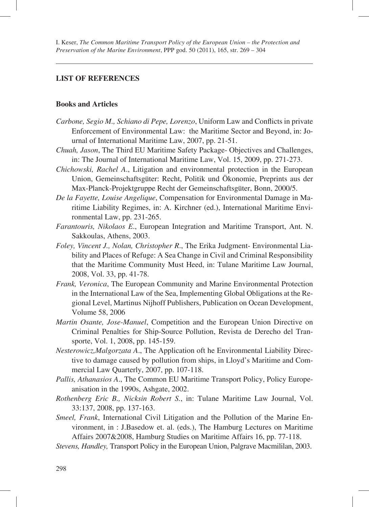#### **LIST OF REFERENCES**

#### **Books and Articles**

- *Carbone, Segio M., Schiano di Pepe, Lorenzo*, Uniform Law and Conflicts in private Enforcement of Environmental Law: the Maritime Sector and Beyond, in: Journal of International Maritime Law, 2007, pp. 21-51.
- *Chuah, Jason*, The Third EU Maritime Safety Package- Objectives and Challenges, in: The Journal of International Maritime Law, Vol. 15, 2009, pp. 271-273.
- *Chichowski, Rachel A*., Litigation and environmental protection in the European Union, Gemeinschaftsgüter: Recht, Politik und Ökonomie, Preprints aus der Max-Planck-Projektgruppe Recht der Gemeinschaftsgüter, Bonn, 2000/5.
- *De la Fayette, Louise Angelique*, Compensation for Environmental Damage in Maritime Liability Regimes, in: A. Kirchner (ed.), International Maritime Environmental Law, pp. 231-265.
- *Farantouris, Nikolaos E*., European Integration and Maritime Transport, Ant. N. Sakkoulas, Athens, 2003.
- *Foley, Vincent J., Nolan, Christopher R*., The Erika Judgment- Environmental Liability and Places of Refuge: A Sea Change in Civil and Criminal Responsibility that the Maritime Community Must Heed, in: Tulane Maritime Law Journal, 2008, Vol. 33, pp. 41-78.
- *Frank, Veronica*, The European Community and Marine Environmental Protection in the International Law of the Sea, Implementing Global Obligations at the Regional Level, Martinus Nijhoff Publishers, Publication on Ocean Development, Volume 58, 2006
- *Martin Osante, Jose-Manuel*, Competition and the European Union Directive on Criminal Penalties for Ship-Source Pollution, Revista de Derecho del Transporte, Vol. 1, 2008, pp. 145-159.
- *Nesterowicz,Malgorzata A*., The Application oft he Environmental Liability Directive to damage caused by pollution from ships, in Lloyd's Maritime and Commercial Law Quarterly, 2007, pp. 107-118.
- *Pallis, Athanasios A*., The Common EU Maritime Transport Policy, Policy Europeanisation in the 1990s, Ashgate, 2002.
- *Rothenberg Eric B., Nicksin Robert S.*, in: Tulane Maritime Law Journal, Vol. 33:137, 2008, pp. 137-163.
- *Smeel, Frank*, International Civil Litigation and the Pollution of the Marine Environment, in : J.Basedow et. al. (eds.), The Hamburg Lectures on Maritime Affairs 2007&2008, Hamburg Studies on Maritime Affairs 16, pp. 77-118.
- *Stevens, Handley,* Transport Policy in the European Union, Palgrave Macmililan, 2003.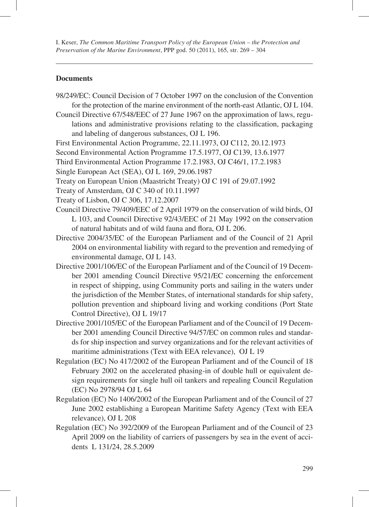### **Documents**

- 98/249/EC: Council Decision of 7 October 1997 on the conclusion of the Convention for the protection of the marine environment of the north-east Atlantic, OJ L 104.
- Council Directive 67/548/EEC of 27 June 1967 on the approximation of laws, regulations and administrative provisions relating to the classification, packaging and labeling of dangerous substances, OJ L 196.
- First Environmental Action Programme, 22.11.1973, OJ C112, 20.12.1973
- Second Environmental Action Programme 17.5.1977, OJ C139, 13.6.1977
- Third Environmental Action Programme 17.2.1983, OJ C46/1, 17.2.1983
- Single European Act (SEA), OJ L 169, 29.06.1987
- Treaty on European Union (Maastricht Treaty) OJ C 191 of 29.07.1992
- Treaty of Amsterdam, OJ C 340 of 10.11.1997
- Treaty of Lisbon, OJ C 306, 17.12.2007
- Council Directive 79/409/EEC of 2 April 1979 on the conservation of wild birds, OJ L 103, and Council Directive 92/43/EEC of 21 May 1992 on the conservation of natural habitats and of wild fauna and flora, OJ L 206.
- Directive 2004/35/EC of the European Parliament and of the Council of 21 April 2004 on environmental liability with regard to the prevention and remedying of environmental damage, OJ L 143.
- Directive 2001/106/EC of the European Parliament and of the Council of 19 December 2001 amending Council Directive 95/21/EC concerning the enforcement in respect of shipping, using Community ports and sailing in the waters under the jurisdiction of the Member States, of international standards for ship safety, pollution prevention and shipboard living and working conditions (Port State Control Directive), OJ L 19/17
- Directive 2001/105/EC of the European Parliament and of the Council of 19 December 2001 amending Council Directive 94/57/EC on common rules and standards for ship inspection and survey organizations and for the relevant activities of maritime administrations (Text with EEA relevance), OJ L 19
- Regulation (EC) No 417/2002 of the European Parliament and of the Council of 18 February 2002 on the accelerated phasing-in of double hull or equivalent design requirements for single hull oil tankers and repealing Council Regulation (EC) No 2978/94 OJ L 64
- Regulation (EC) No 1406/2002 of the European Parliament and of the Council of 27 June 2002 establishing a European Maritime Safety Agency (Text with EEA relevance), OJ L 208
- Regulation (EC) No 392/2009 of the European Parliament and of the Council of 23 April 2009 on the liability of carriers of passengers by sea in the event of accidents L 131/24, 28.5.2009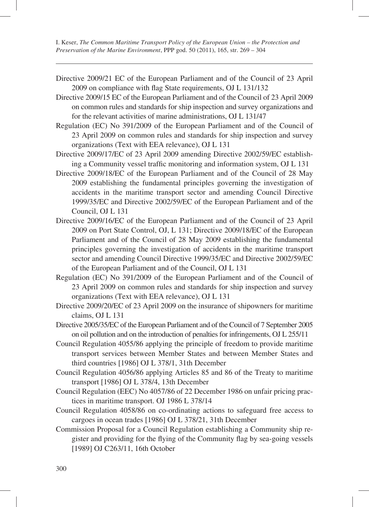- Directive 2009/21 EC of the European Parliament and of the Council of 23 April 2009 on compliance with flag State requirements, OJ L 131/132
- Directive 2009/15 EC of the European Parliament and of the Council of 23 April 2009 on common rules and standards for ship inspection and survey organizations and for the relevant activities of marine administrations, OJ L 131/47
- Regulation (EC) No 391/2009 of the European Parliament and of the Council of 23 April 2009 on common rules and standards for ship inspection and survey organizations (Text with EEA relevance), OJ L 131
- Directive 2009/17/EC of 23 April 2009 amending Directive 2002/59/EC establishing a Community vessel traffic monitoring and information system, OJ L 131
- Directive 2009/18/EC of the European Parliament and of the Council of 28 May 2009 establishing the fundamental principles governing the investigation of accidents in the maritime transport sector and amending Council Directive 1999/35/EC and Directive 2002/59/EC of the European Parliament and of the Council, OJ L 131
- Directive 2009/16/EC of the European Parliament and of the Council of 23 April 2009 on Port State Control, OJ, L 131; Directive 2009/18/EC of the European Parliament and of the Council of 28 May 2009 establishing the fundamental principles governing the investigation of accidents in the maritime transport sector and amending Council Directive 1999/35/EC and Directive 2002/59/EC of the European Parliament and of the Council, OJ L 131
- Regulation (EC) No 391/2009 of the European Parliament and of the Council of 23 April 2009 on common rules and standards for ship inspection and survey organizations (Text with EEA relevance), OJ L 131
- Directive 2009/20/EC of 23 April 2009 on the insurance of shipowners for maritime claims, OJ L 131
- Directive 2005/35/EC of the European Parliament and of the Council of 7 September 2005 on oil pollution and on the introduction of penalties for infringements, OJ L 255/11
- Council Regulation 4055/86 applying the principle of freedom to provide maritime transport services between Member States and between Member States and third countries [1986] OJ L 378/1, 31th December
- Council Regulation 4056/86 applying Articles 85 and 86 of the Treaty to maritime transport [1986] OJ L 378/4, 13th December
- Council Regulation (EEC) No 4057/86 of 22 December 1986 on unfair pricing practices in maritime transport. OJ 1986 L 378/14
- Council Regulation 4058/86 on co-ordinating actions to safeguard free access to cargoes in ocean trades [1986] OJ L 378/21, 31th December
- Commission Proposal for a Council Regulation establishing a Community ship register and providing for the flying of the Community flag by sea-going vessels [1989] OJ C263/11, 16th October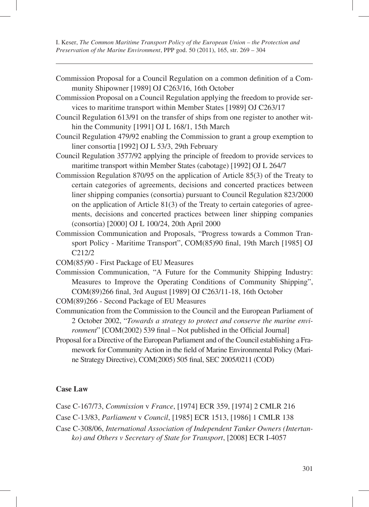- Commission Proposal for a Council Regulation on a common definition of a Community Shipowner [1989] OJ C263/16, 16th October
- Commission Proposal on a Council Regulation applying the freedom to provide services to maritime transport within Member States [1989] OJ C263/17
- Council Regulation 613/91 on the transfer of ships from one register to another within the Community [1991] OJ L 168/1, 15th March
- Council Regulation 479/92 enabling the Commission to grant a group exemption to liner consortia [1992] OJ L 53/3, 29th February
- Council Regulation 3577/92 applying the principle of freedom to provide services to maritime transport within Member States (cabotage) [1992] OJ L 264/7
- Commission Regulation 870/95 on the application of Article 85(3) of the Treaty to certain categories of agreements, decisions and concerted practices between liner shipping companies (consortia) pursuant to Council Regulation 823/2000 on the application of Article 81(3) of the Treaty to certain categories of agreements, decisions and concerted practices between liner shipping companies (consortia) [2000] OJ L 100/24, 20th April 2000
- Commission Communication and Proposals, "Progress towards a Common Transport Policy - Maritime Transport", COM(85)90 final, 19th March [1985] OJ C212/2
- COM(85)90 First Package of EU Measures
- Commission Communication, "A Future for the Community Shipping Industry: Measures to Improve the Operating Conditions of Community Shipping", COM(89)266 final, 3rd August [1989] OJ C263/11-18, 16th October
- COM(89)266 Second Package of EU Measures
- Communication from the Commission to the Council and the European Parliament of 2 October 2002, "*Towards a strategy to protect and conserve the marine environment*" [COM(2002) 539 final – Not published in the Official Journal]
- Proposal for a Directive of the European Parliament and of the Council establishing a Framework for Community Action in the field of Marine Environmental Policy (Marine Strategy Directive), COM(2005) 505 final, SEC 2005/0211 (COD)

### **Case Law**

Case C-167/73, *Commission* v *France*, [1974] ECR 359, [1974] 2 CMLR 216

Case C-13/83, *Parliament* v *Council*, [1985] ECR 1513, [1986] 1 CMLR 138

Case C-308/06, *International Association of Independent Tanker Owners (Intertanko) and Others v Secretary of State for Transport*, [2008] ECR I-4057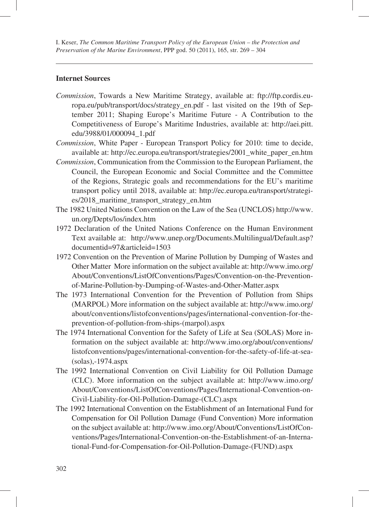### **Internet Sources**

- *Commission*, Towards a New Maritime Strategy, available at: ftp://ftp.cordis.europa.eu/pub/transport/docs/strategy\_en.pdf - last visited on the 19th of September 2011; Shaping Europe's Maritime Future - A Contribution to the Competitiveness of Europe's Maritime Industries, available at: http://aei.pitt. edu/3988/01/000094\_1.pdf
- *Commission*, White Paper European Transport Policy for 2010: time to decide, available at: http://ec.europa.eu/transport/strategies/2001\_white\_paper\_en.htm
- *Commission*, Communication from the Commission to the European Parliament, the Council, the European Economic and Social Committee and the Committee of the Regions, Strategic goals and recommendations for the EU's maritime transport policy until 2018, available at: http://ec.europa.eu/transport/strategies/2018\_maritime\_transport\_strategy\_en.htm
- The 1982 United Nations Convention on the Law of the Sea (UNCLOS) http://www. un.org/Depts/los/index.htm
- 1972 Declaration of the United Nations Conference on the Human Environment Text available at: http://www.unep.org/Documents.Multilingual/Default.asp? documentid=97&articleid=1503
- 1972 Convention on the Prevention of Marine Pollution by Dumping of Wastes and Other Matter More information on the subject available at: http://www.imo.org/ About/Conventions/ListOfConventions/Pages/Convention-on-the-Preventionof-Marine-Pollution-by-Dumping-of-Wastes-and-Other-Matter.aspx
- The 1973 International Convention for the Prevention of Pollution from Ships (MARPOL) More information on the subject available at: http://www.imo.org/ about/conventions/listofconventions/pages/international-convention-for-theprevention-of-pollution-from-ships-(marpol).aspx
- The 1974 International Convention for the Safety of Life at Sea (SOLAS) More information on the subject available at: http://www.imo.org/about/conventions/ listofconventions/pages/international-convention-for-the-safety-of-life-at-sea- (solas),-1974.aspx
- The 1992 International Convention on Civil Liability for Oil Pollution Damage (CLC). More information on the subject available at: http://www.imo.org/ About/Conventions/ListOfConventions/Pages/International-Convention-on-Civil-Liability-for-Oil-Pollution-Damage-(CLC).aspx
- The 1992 International Convention on the Establishment of an International Fund for Compensation for Oil Pollution Damage (Fund Convention) More information on the subject available at: http://www.imo.org/About/Conventions/ListOfConventions/Pages/International-Convention-on-the-Establishment-of-an-International-Fund-for-Compensation-for-Oil-Pollution-Damage-(FUND).aspx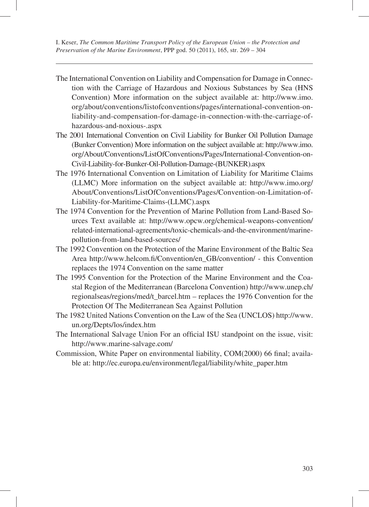- The International Convention on Liability and Compensation for Damage in Connection with the Carriage of Hazardous and Noxious Substances by Sea (HNS Convention) More information on the subject available at: http://www.imo. org/about/conventions/listofconventions/pages/international-convention-onliability-and-compensation-for-damage-in-connection-with-the-carriage-ofhazardous-and-noxious-.aspx
- The 2001 International Convention on Civil Liability for Bunker Oil Pollution Damage (Bunker Convention) More information on the subject available at: http://www.imo. org/About/Conventions/ListOfConventions/Pages/International-Convention-on-Civil-Liability-for-Bunker-Oil-Pollution-Damage-(BUNKER).aspx
- The 1976 International Convention on Limitation of Liability for Maritime Claims (LLMC) More information on the subject available at: http://www.imo.org/ About/Conventions/ListOfConventions/Pages/Convention-on-Limitation-of-Liability-for-Maritime-Claims-(LLMC).aspx
- The 1974 Convention for the Prevention of Marine Pollution from Land-Based Sources Text available at: http://www.opcw.org/chemical-weapons-convention/ related-international-agreements/toxic-chemicals-and-the-environment/marinepollution-from-land-based-sources/
- The 1992 Convention on the Protection of the Marine Environment of the Baltic Sea Area http://www.helcom.fi/Convention/en\_GB/convention/ - this Convention replaces the 1974 Convention on the same matter
- The 1995 Convention for the Protection of the Marine Environment and the Coastal Region of the Mediterranean (Barcelona Convention) http://www.unep.ch/ regionalseas/regions/med/t\_barcel.htm – replaces the 1976 Convention for the Protection Of The Mediterranean Sea Against Pollution
- The 1982 United Nations Convention on the Law of the Sea (UNCLOS) http://www. un.org/Depts/los/index.htm
- The International Salvage Union For an official ISU standpoint on the issue, visit: http://www.marine-salvage.com/
- Commission, White Paper on environmental liability, COM(2000) 66 final; available at: http://ec.europa.eu/environment/legal/liability/white\_paper.htm